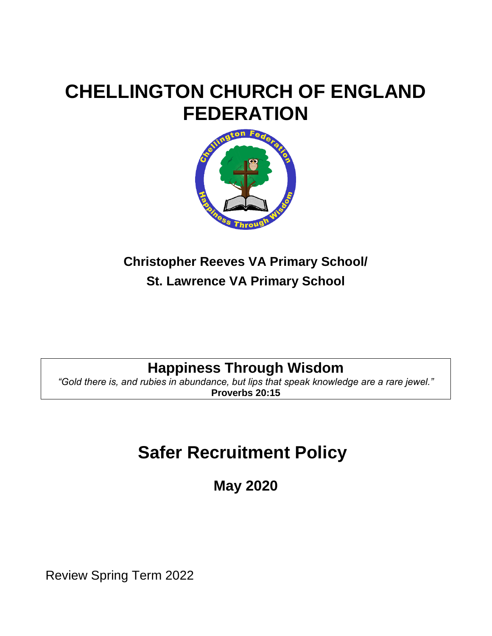# **CHELLINGTON CHURCH OF ENGLAND FEDERATION**



# **Christopher Reeves VA Primary School/ St. Lawrence VA Primary School**

# **Happiness Through Wisdom**

*"Gold there is, and rubies in abundance, but lips that speak knowledge are a rare jewel."* **Proverbs 20:15**

# **Safer Recruitment Policy**

**May 2020**

Review Spring Term 2022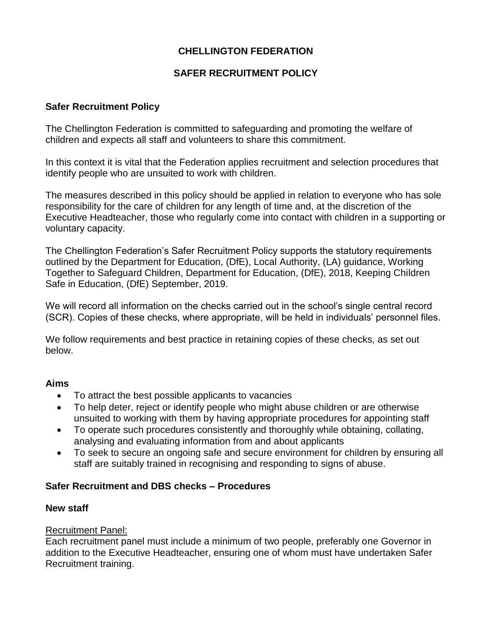# **CHELLINGTON FEDERATION**

## **SAFER RECRUITMENT POLICY**

#### **Safer Recruitment Policy**

The Chellington Federation is committed to safeguarding and promoting the welfare of children and expects all staff and volunteers to share this commitment.

In this context it is vital that the Federation applies recruitment and selection procedures that identify people who are unsuited to work with children.

The measures described in this policy should be applied in relation to everyone who has sole responsibility for the care of children for any length of time and, at the discretion of the Executive Headteacher, those who regularly come into contact with children in a supporting or voluntary capacity.

The Chellington Federation's Safer Recruitment Policy supports the statutory requirements outlined by the Department for Education, (DfE), Local Authority, (LA) guidance, Working Together to Safeguard Children, Department for Education, (DfE), 2018, Keeping Children Safe in Education, (DfE) September, 2019.

We will record all information on the checks carried out in the school's single central record (SCR). Copies of these checks, where appropriate, will be held in individuals' personnel files.

We follow requirements and best practice in retaining copies of these checks, as set out below.

#### **Aims**

- To attract the best possible applicants to vacancies
- To help deter, reject or identify people who might abuse children or are otherwise unsuited to working with them by having appropriate procedures for appointing staff
- To operate such procedures consistently and thoroughly while obtaining, collating, analysing and evaluating information from and about applicants
- To seek to secure an ongoing safe and secure environment for children by ensuring all staff are suitably trained in recognising and responding to signs of abuse.

#### **Safer Recruitment and DBS checks – Procedures**

#### **New staff**

#### Recruitment Panel:

Each recruitment panel must include a minimum of two people, preferably one Governor in addition to the Executive Headteacher, ensuring one of whom must have undertaken Safer Recruitment training.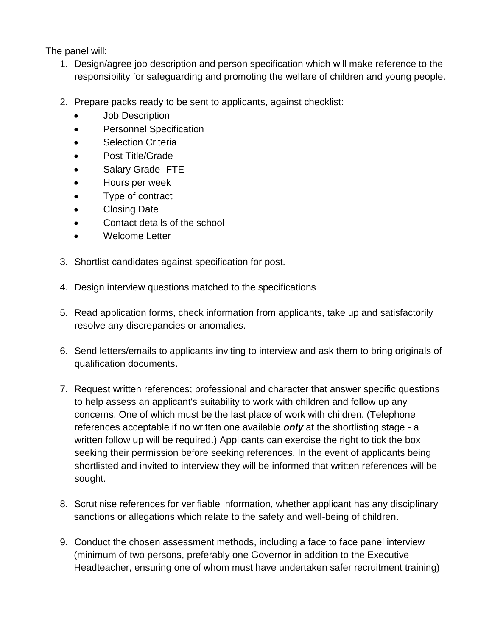The panel will:

- 1. Design/agree job description and person specification which will make reference to the responsibility for safeguarding and promoting the welfare of children and young people.
- 2. Prepare packs ready to be sent to applicants, against checklist:
	- Job Description
	- Personnel Specification
	- Selection Criteria
	- Post Title/Grade
	- Salary Grade- FTE
	- Hours per week
	- Type of contract
	- Closing Date
	- Contact details of the school
	- Welcome Letter
- 3. Shortlist candidates against specification for post.
- 4. Design interview questions matched to the specifications
- 5. Read application forms, check information from applicants, take up and satisfactorily resolve any discrepancies or anomalies.
- 6. Send letters/emails to applicants inviting to interview and ask them to bring originals of qualification documents.
- 7. Request written references; professional and character that answer specific questions to help assess an applicant's suitability to work with children and follow up any concerns. One of which must be the last place of work with children. (Telephone references acceptable if no written one available *only* at the shortlisting stage - a written follow up will be required.) Applicants can exercise the right to tick the box seeking their permission before seeking references. In the event of applicants being shortlisted and invited to interview they will be informed that written references will be sought.
- 8. Scrutinise references for verifiable information, whether applicant has any disciplinary sanctions or allegations which relate to the safety and well-being of children.
- 9. Conduct the chosen assessment methods, including a face to face panel interview (minimum of two persons, preferably one Governor in addition to the Executive Headteacher, ensuring one of whom must have undertaken safer recruitment training)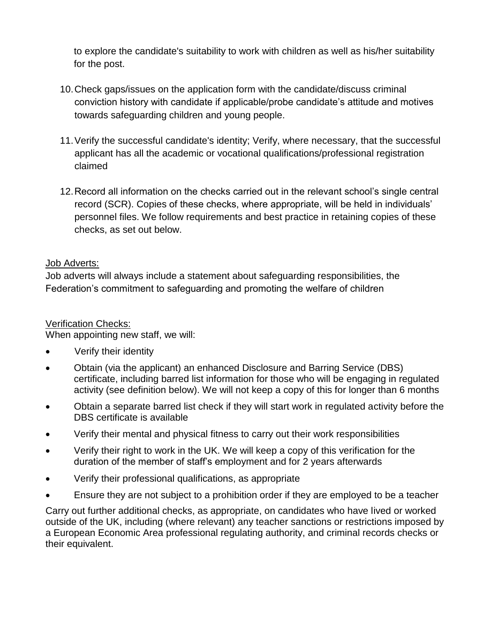to explore the candidate's suitability to work with children as well as his/her suitability for the post.

- 10.Check gaps/issues on the application form with the candidate/discuss criminal conviction history with candidate if applicable/probe candidate's attitude and motives towards safeguarding children and young people.
- 11.Verify the successful candidate's identity; Verify, where necessary, that the successful applicant has all the academic or vocational qualifications/professional registration claimed
- 12.Record all information on the checks carried out in the relevant school's single central record (SCR). Copies of these checks, where appropriate, will be held in individuals' personnel files. We follow requirements and best practice in retaining copies of these checks, as set out below.

## Job Adverts:

Job adverts will always include a statement about safeguarding responsibilities, the Federation's commitment to safeguarding and promoting the welfare of children

# Verification Checks:

When appointing new staff, we will:

- Verify their identity
- Obtain (via the applicant) an enhanced Disclosure and Barring Service (DBS) certificate, including barred list information for those who will be engaging in regulated activity (see definition below). We will not keep a copy of this for longer than 6 months
- Obtain a separate barred list check if they will start work in regulated activity before the DBS certificate is available
- Verify their mental and physical fitness to carry out their work responsibilities
- Verify their right to work in the UK. We will keep a copy of this verification for the duration of the member of staff's employment and for 2 years afterwards
- Verify their professional qualifications, as appropriate
- Ensure they are not subject to a prohibition order if they are employed to be a teacher

Carry out further additional checks, as appropriate, on candidates who have lived or worked outside of the UK, including (where relevant) any teacher sanctions or restrictions imposed by a European Economic Area professional regulating authority, and criminal records checks or their equivalent.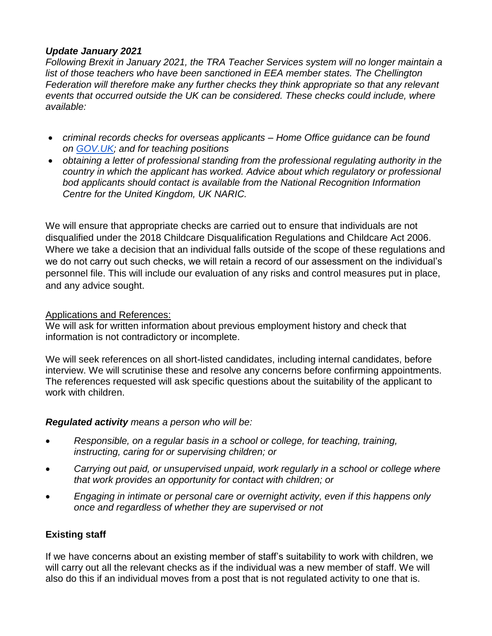#### *Update January 2021*

*Following Brexit in January 2021, the TRA Teacher Services system will no longer maintain a*  list of those teachers who have been sanctioned in EEA member states. The Chellington *Federation will therefore make any further checks they think appropriate so that any relevant events that occurred outside the UK can be considered. These checks could include, where available:*

- *criminal records checks for overseas applicants – Home Office guidance can be found on [GOV.UK;](http://gov.uk/) and for teaching positions*
- *obtaining a letter of professional standing from the professional regulating authority in the country in which the applicant has worked. Advice about which regulatory or professional bod applicants should contact is available from the National Recognition Information Centre for the United Kingdom, UK NARIC.*

We will ensure that appropriate checks are carried out to ensure that individuals are not disqualified under the 2018 Childcare Disqualification Regulations and Childcare Act 2006. Where we take a decision that an individual falls outside of the scope of these regulations and we do not carry out such checks, we will retain a record of our assessment on the individual's personnel file. This will include our evaluation of any risks and control measures put in place, and any advice sought.

#### Applications and References:

We will ask for written information about previous employment history and check that information is not contradictory or incomplete.

We will seek references on all short-listed candidates, including internal candidates, before interview. We will scrutinise these and resolve any concerns before confirming appointments. The references requested will ask specific questions about the suitability of the applicant to work with children.

#### *Regulated activity means a person who will be:*

- *Responsible, on a regular basis in a school or college, for teaching, training, instructing, caring for or supervising children; or*
- *Carrying out paid, or unsupervised unpaid, work regularly in a school or college where that work provides an opportunity for contact with children; or*
- *Engaging in intimate or personal care or overnight activity, even if this happens only once and regardless of whether they are supervised or not*

# **Existing staff**

If we have concerns about an existing member of staff's suitability to work with children, we will carry out all the relevant checks as if the individual was a new member of staff. We will also do this if an individual moves from a post that is not regulated activity to one that is.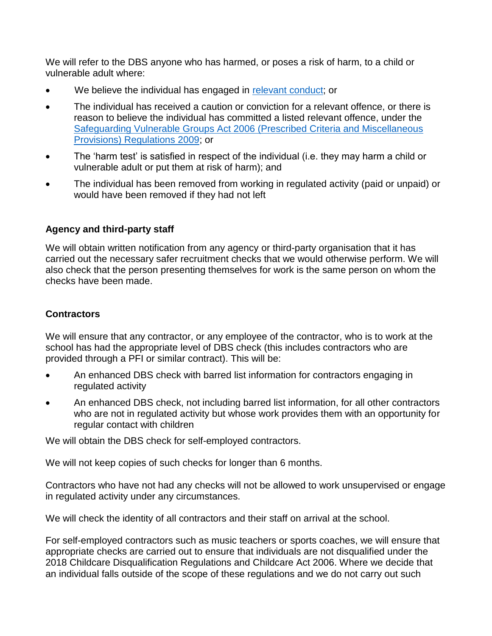We will refer to the DBS anyone who has harmed, or poses a risk of harm, to a child or vulnerable adult where:

- We believe the individual has engaged in [relevant conduct;](https://www.gov.uk/guidance/making-barring-referrals-to-the-dbs#relevant-conduct-in-relation-to-children) or
- The individual has received a caution or conviction for a relevant offence, or there is reason to believe the individual has committed a listed relevant offence, under the [Safeguarding Vulnerable Groups Act 2006 \(Prescribed Criteria and Miscellaneous](http://www.legislation.gov.uk/uksi/2009/37/contents/made)  [Provisions\) Regulations 2009;](http://www.legislation.gov.uk/uksi/2009/37/contents/made) or
- The 'harm test' is satisfied in respect of the individual (i.e. they may harm a child or vulnerable adult or put them at risk of harm); and
- The individual has been removed from working in regulated activity (paid or unpaid) or would have been removed if they had not left

## **Agency and third-party staff**

We will obtain written notification from any agency or third-party organisation that it has carried out the necessary safer recruitment checks that we would otherwise perform. We will also check that the person presenting themselves for work is the same person on whom the checks have been made.

#### **Contractors**

We will ensure that any contractor, or any employee of the contractor, who is to work at the school has had the appropriate level of DBS check (this includes contractors who are provided through a PFI or similar contract). This will be:

- An enhanced DBS check with barred list information for contractors engaging in regulated activity
- An enhanced DBS check, not including barred list information, for all other contractors who are not in regulated activity but whose work provides them with an opportunity for regular contact with children

We will obtain the DBS check for self-employed contractors.

We will not keep copies of such checks for longer than 6 months.

Contractors who have not had any checks will not be allowed to work unsupervised or engage in regulated activity under any circumstances.

We will check the identity of all contractors and their staff on arrival at the school.

For self-employed contractors such as music teachers or sports coaches, we will ensure that appropriate checks are carried out to ensure that individuals are not disqualified under the 2018 Childcare Disqualification Regulations and Childcare Act 2006. Where we decide that an individual falls outside of the scope of these regulations and we do not carry out such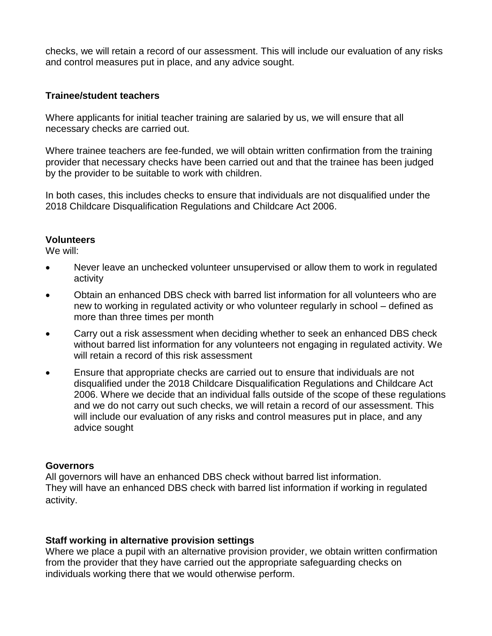checks, we will retain a record of our assessment. This will include our evaluation of any risks and control measures put in place, and any advice sought.

#### **Trainee/student teachers**

Where applicants for initial teacher training are salaried by us, we will ensure that all necessary checks are carried out.

Where trainee teachers are fee-funded, we will obtain written confirmation from the training provider that necessary checks have been carried out and that the trainee has been judged by the provider to be suitable to work with children.

In both cases, this includes checks to ensure that individuals are not disqualified under the 2018 Childcare Disqualification Regulations and Childcare Act 2006.

#### **Volunteers**

We will:

- Never leave an unchecked volunteer unsupervised or allow them to work in regulated activity
- Obtain an enhanced DBS check with barred list information for all volunteers who are new to working in regulated activity or who volunteer regularly in school – defined as more than three times per month
- Carry out a risk assessment when deciding whether to seek an enhanced DBS check without barred list information for any volunteers not engaging in regulated activity. We will retain a record of this risk assessment
- Ensure that appropriate checks are carried out to ensure that individuals are not disqualified under the 2018 Childcare Disqualification Regulations and Childcare Act 2006. Where we decide that an individual falls outside of the scope of these regulations and we do not carry out such checks, we will retain a record of our assessment. This will include our evaluation of any risks and control measures put in place, and any advice sought

#### **Governors**

All governors will have an enhanced DBS check without barred list information. They will have an enhanced DBS check with barred list information if working in regulated activity.

#### **Staff working in alternative provision settings**

Where we place a pupil with an alternative provision provider, we obtain written confirmation from the provider that they have carried out the appropriate safeguarding checks on individuals working there that we would otherwise perform.